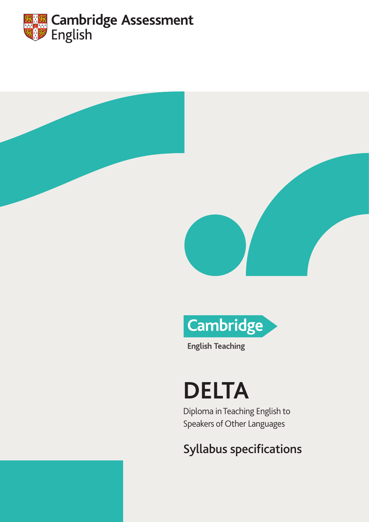





**English Teaching** 

# **DELTA**

Diploma in Teaching English to Speakers of Other Languages

## Syllabus specifications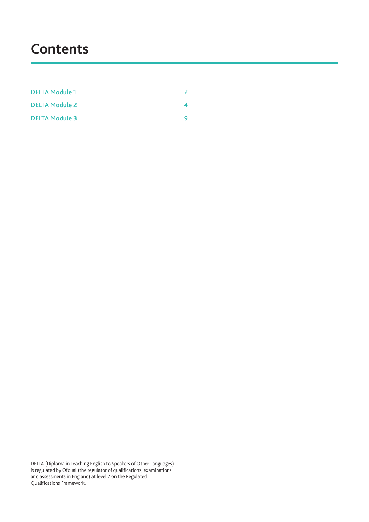## **Contents**

| <b>DELTA Module 1</b> |  |
|-----------------------|--|
| <b>DELTA Module 2</b> |  |
| <b>DELTA Module 3</b> |  |

DELTA (Diploma in Teaching English to Speakers of Other Languages) is regulated by Ofqual (the regulator of qualifications, examinations and assessments in England) at level 7 on the Regulated Qualifications Framework.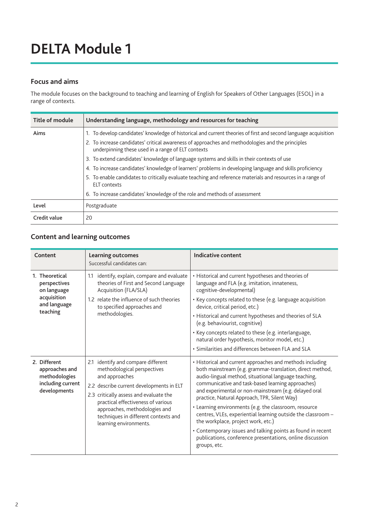## <span id="page-2-0"></span>**DELTA Module 1**

### **Focus and aims**

The module focuses on the background to teaching and learning of English for Speakers of Other Languages (ESOL) in a range of contexts.

| Title of module | Understanding language, methodology and resources for teaching                                                                                         |  |
|-----------------|--------------------------------------------------------------------------------------------------------------------------------------------------------|--|
| Aims            | 1. To develop candidates' knowledge of historical and current theories of first and second language acquisition                                        |  |
|                 | 2. To increase candidates' critical awareness of approaches and methodologies and the principles<br>underpinning these used in a range of ELT contexts |  |
|                 | 3. To extend candidates' knowledge of language systems and skills in their contexts of use                                                             |  |
|                 | 4. To increase candidates' knowledge of learners' problems in developing language and skills proficiency                                               |  |
|                 | 5. To enable candidates to critically evaluate teaching and reference materials and resources in a range of<br><b>ELT</b> contexts                     |  |
|                 | 6. To increase candidates' knowledge of the role and methods of assessment                                                                             |  |
| Level           | Postgraduate                                                                                                                                           |  |
| Credit value    | 20                                                                                                                                                     |  |

| Content                                                                              | <b>Learning outcomes</b><br>Successful candidates can:                                                                                                                       | Indicative content                                                                                                                                                                                                                                                                                                                           |
|--------------------------------------------------------------------------------------|------------------------------------------------------------------------------------------------------------------------------------------------------------------------------|----------------------------------------------------------------------------------------------------------------------------------------------------------------------------------------------------------------------------------------------------------------------------------------------------------------------------------------------|
| 1. Theoretical<br>perspectives<br>on language<br>acquisition<br>and language         | identify, explain, compare and evaluate<br>1.1<br>theories of First and Second Language<br>Acquisition (FLA/SLA)<br>1.2 relate the influence of such theories                | • Historical and current hypotheses and theories of<br>language and FLA (e.g. imitation, innateness,<br>cognitive-developmental)<br>• Key concepts related to these (e.g. language acquisition                                                                                                                                               |
| teaching                                                                             | to specified approaches and<br>methodologies.                                                                                                                                | device, critical period, etc.)<br>• Historical and current hypotheses and theories of SLA<br>(e.g. behaviourist, cognitive)                                                                                                                                                                                                                  |
|                                                                                      |                                                                                                                                                                              | • Key concepts related to these (e.g. interlanguage,<br>natural order hypothesis, monitor model, etc.)                                                                                                                                                                                                                                       |
|                                                                                      |                                                                                                                                                                              | · Similarities and differences between FLA and SLA                                                                                                                                                                                                                                                                                           |
| 2. Different<br>approaches and<br>methodologies<br>including current<br>developments | identify and compare different<br>2.1<br>methodological perspectives<br>and approaches<br>2.2 describe current developments in ELT<br>2.3 critically assess and evaluate the | • Historical and current approaches and methods including<br>both mainstream (e.g. grammar-translation, direct method,<br>audio-lingual method, situational language teaching,<br>communicative and task-based learning approaches)<br>and experimental or non-mainstream (e.g. delayed oral<br>practice, Natural Approach, TPR, Silent Way) |
|                                                                                      | practical effectiveness of various<br>approaches, methodologies and<br>techniques in different contexts and<br>learning environments.                                        | • Learning environments (e.g. the classroom, resource<br>centres, VLEs, experiential learning outside the classroom -<br>the workplace, project work, etc.)                                                                                                                                                                                  |
|                                                                                      |                                                                                                                                                                              | • Contemporary issues and talking points as found in recent<br>publications, conference presentations, online discussion<br>groups, etc.                                                                                                                                                                                                     |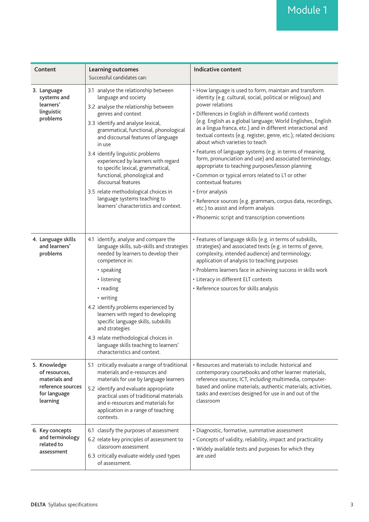| Content                                                                                         | <b>Learning outcomes</b><br>Successful candidates can:                                                                                                                                                                                                                                                                                                                                                                                                                                                                                             | Indicative content                                                                                                                                                                                                                                                                                                                                                                                                                                                                                                                                                                                                                                                                                                                                                                                                                                                             |
|-------------------------------------------------------------------------------------------------|----------------------------------------------------------------------------------------------------------------------------------------------------------------------------------------------------------------------------------------------------------------------------------------------------------------------------------------------------------------------------------------------------------------------------------------------------------------------------------------------------------------------------------------------------|--------------------------------------------------------------------------------------------------------------------------------------------------------------------------------------------------------------------------------------------------------------------------------------------------------------------------------------------------------------------------------------------------------------------------------------------------------------------------------------------------------------------------------------------------------------------------------------------------------------------------------------------------------------------------------------------------------------------------------------------------------------------------------------------------------------------------------------------------------------------------------|
| 3. Language<br>systems and<br>learners'<br>linguistic<br>problems                               | 3.1 analyse the relationship between<br>language and society<br>3.2 analyse the relationship between<br>genres and context<br>3.3 identify and analyse lexical,<br>grammatical, functional, phonological<br>and discoursal features of language<br>in use<br>3.4 identify linguistic problems<br>experienced by learners with regard<br>to specific lexical, grammatical,<br>functional, phonological and<br>discoursal features<br>3.5 relate methodological choices in<br>language systems teaching to<br>learners' characteristics and context. | • How language is used to form, maintain and transform<br>identity (e.g. cultural, social, political or religious) and<br>power relations<br>• Differences in English in different world contexts<br>(e.g. English as a global language; World Englishes, English<br>as a lingua franca, etc.) and in different interactional and<br>textual contexts (e.g. register, genre, etc.); related decisions<br>about which varieties to teach<br>• Features of language systems (e.g. in terms of meaning,<br>form, pronunciation and use) and associated terminology,<br>appropriate to teaching purposes/lesson planning<br>• Common or typical errors related to L1 or other<br>contextual features<br>• Error analysis<br>· Reference sources (e.g. grammars, corpus data, recordings,<br>etc.) to assist and inform analysis<br>• Phonemic script and transcription conventions |
| 4. Language skills<br>and learners'<br>problems                                                 | 4.1 identify, analyse and compare the<br>language skills, sub-skills and strategies<br>needed by learners to develop their<br>competence in:<br>• speaking<br>• listening<br>• reading<br>• writing<br>4.2 identify problems experienced by<br>learners with regard to developing<br>specific language skills, subskills<br>and strategies<br>4.3 relate methodological choices in<br>language skills teaching to learners'<br>characteristics and context.                                                                                        | • Features of language skills (e.g. in terms of subskills,<br>strategies) and associated texts (e.g. in terms of genre,<br>complexity, intended audience) and terminology;<br>application of analysis to teaching purposes<br>• Problems learners face in achieving success in skills work<br>• Literacy in different ELT contexts<br>• Reference sources for skills analysis                                                                                                                                                                                                                                                                                                                                                                                                                                                                                                  |
| 5. Knowledge<br>of resources,<br>materials and<br>reference sources<br>for language<br>learning | 5.1 critically evaluate a range of traditional<br>materials and e-resources and<br>materials for use by language learners<br>5.2 identify and evaluate appropriate<br>practical uses of traditional materials<br>and e-resources and materials for<br>application in a range of teaching<br>contexts.                                                                                                                                                                                                                                              | • Resources and materials to include: historical and<br>contemporary coursebooks and other learner materials,<br>reference sources; ICT, including multimedia, computer-<br>based and online materials; authentic materials; activities,<br>tasks and exercises designed for use in and out of the<br>classroom                                                                                                                                                                                                                                                                                                                                                                                                                                                                                                                                                                |
| 6. Key concepts<br>and terminology<br>related to<br>assessment                                  | 6.1 classify the purposes of assessment<br>6.2 relate key principles of assessment to<br>classroom assessment<br>6.3 critically evaluate widely used types<br>of assessment.                                                                                                                                                                                                                                                                                                                                                                       | · Diagnostic, formative, summative assessment<br>• Concepts of validity, reliability, impact and practicality<br>• Widely available tests and purposes for which they<br>are used                                                                                                                                                                                                                                                                                                                                                                                                                                                                                                                                                                                                                                                                                              |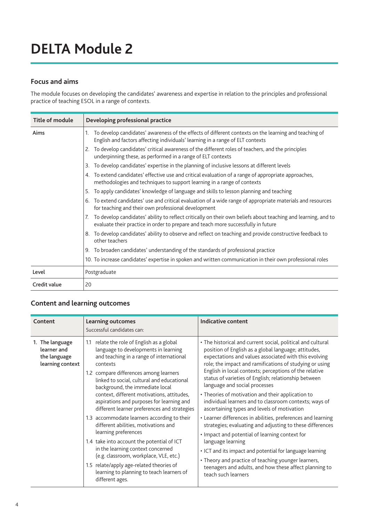## <span id="page-4-0"></span>**DELTA Module 2**

### **Focus and aims**

The module focuses on developing the candidates' awareness and expertise in relation to the principles and professional practice of teaching ESOL in a range of contexts.

| Title of module | Developing professional practice                                                                                                                                                                         |
|-----------------|----------------------------------------------------------------------------------------------------------------------------------------------------------------------------------------------------------|
| Aims            | To develop candidates' awareness of the effects of different contexts on the learning and teaching of<br>English and factors affecting individuals' learning in a range of ELT contexts                  |
|                 | 2. To develop candidates' critical awareness of the different roles of teachers, and the principles<br>underpinning these, as performed in a range of ELT contexts                                       |
|                 | To develop candidates' expertise in the planning of inclusive lessons at different levels                                                                                                                |
|                 | 4. To extend candidates' effective use and critical evaluation of a range of appropriate approaches,<br>methodologies and techniques to support learning in a range of contexts                          |
|                 | To apply candidates' knowledge of language and skills to lesson planning and teaching                                                                                                                    |
|                 | To extend candidates' use and critical evaluation of a wide range of appropriate materials and resources<br>6.<br>for teaching and their own professional development                                    |
|                 | To develop candidates' ability to reflect critically on their own beliefs about teaching and learning, and to<br>7.<br>evaluate their practice in order to prepare and teach more successfully in future |
|                 | 8. To develop candidates' ability to observe and reflect on teaching and provide constructive feedback to<br>other teachers                                                                              |
|                 | 9. To broaden candidates' understanding of the standards of professional practice                                                                                                                        |
|                 | 10. To increase candidates' expertise in spoken and written communication in their own professional roles                                                                                                |
| Level           | Postgraduate                                                                                                                                                                                             |
| Credit value    | 20                                                                                                                                                                                                       |

| Content                                                            | <b>Learning outcomes</b><br>Successful candidates can:                                                                                                                                                                                                                                                                                                                                                                                                                                                                                                                                                                                                                                                                                                                      | Indicative content                                                                                                                                                                                                                                                                                                                                                                                                                                                                                                                                                                                                                                                                                                                                                                                                                                                                                                                                               |
|--------------------------------------------------------------------|-----------------------------------------------------------------------------------------------------------------------------------------------------------------------------------------------------------------------------------------------------------------------------------------------------------------------------------------------------------------------------------------------------------------------------------------------------------------------------------------------------------------------------------------------------------------------------------------------------------------------------------------------------------------------------------------------------------------------------------------------------------------------------|------------------------------------------------------------------------------------------------------------------------------------------------------------------------------------------------------------------------------------------------------------------------------------------------------------------------------------------------------------------------------------------------------------------------------------------------------------------------------------------------------------------------------------------------------------------------------------------------------------------------------------------------------------------------------------------------------------------------------------------------------------------------------------------------------------------------------------------------------------------------------------------------------------------------------------------------------------------|
| 1. The language<br>learner and<br>the language<br>learning context | relate the role of English as a global<br>1.1<br>language to developments in learning<br>and teaching in a range of international<br>contexts<br>1.2 compare differences among learners<br>linked to social, cultural and educational<br>background, the immediate local<br>context, different motivations, attitudes,<br>aspirations and purposes for learning and<br>different learner preferences and strategies<br>1.3 accommodate learners according to their<br>different abilities, motivations and<br>learning preferences<br>1.4 take into account the potential of ICT<br>in the learning context concerned<br>(e.g. classroom, workplace, VLE, etc.)<br>1.5 relate/apply age-related theories of<br>learning to planning to teach learners of<br>different ages. | • The historical and current social, political and cultural<br>position of English as a global language; attitudes,<br>expectations and values associated with this evolving<br>role; the impact and ramifications of studying or using<br>English in local contexts; perceptions of the relative<br>status of varieties of English; relationship between<br>language and social processes<br>• Theories of motivation and their application to<br>individual learners and to classroom contexts; ways of<br>ascertaining types and levels of motivation<br>• Learner differences in abilities, preferences and learning<br>strategies; evaluating and adjusting to these differences<br>• Impact and potential of learning context for<br>language learning<br>• ICT and its impact and potential for language learning<br>• Theory and practice of teaching younger learners,<br>teenagers and adults, and how these affect planning to<br>teach such learners |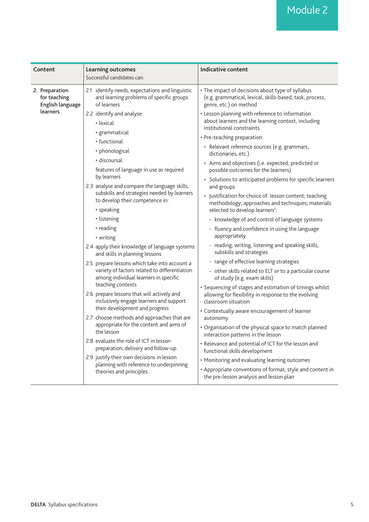| Content                                                        | <b>Learning outcomes</b><br>Successful candidates can:                                                                                                       | Indicative content                                                                                                                                                                            |
|----------------------------------------------------------------|--------------------------------------------------------------------------------------------------------------------------------------------------------------|-----------------------------------------------------------------------------------------------------------------------------------------------------------------------------------------------|
| 2. Preparation<br>for teaching<br>English language<br>learners | 2.1 identify needs, expectations and linguistic<br>and learning problems of specific groups<br>of learners<br>2.2 identify and analyse:                      | • The impact of decisions about type of syllabus<br>(e.g. grammatical, lexical, skills-based, task, process,<br>genre, etc.) on method<br>• Lesson planning with reference to information     |
|                                                                | • lexical<br>· grammatical                                                                                                                                   | about learners and the learning context, including<br>institutional constraints<br>• Pre-teaching preparation:                                                                                |
|                                                                | • functional<br>• phonological                                                                                                                               | · Relevant reference sources (e.g. grammars,<br>dictionaries, etc.)                                                                                                                           |
|                                                                | · discoursal<br>features of language in use as required<br>by learners                                                                                       | <sup>o</sup> Aims and objectives (i.e. expected, predicted or<br>possible outcomes for the learners)                                                                                          |
|                                                                | 2.3 analyse and compare the language skills,<br>subskills and strategies needed by learners<br>to develop their competence in:                               | • Solutions to anticipated problems for specific learners<br>and groups<br><sup>o</sup> Justification for choice of: lesson content; teaching                                                 |
|                                                                | • speaking<br>• listening                                                                                                                                    | methodology; approaches and techniques; materials<br>selected to develop learners':<br>- knowledge of and control of language systems                                                         |
|                                                                | • reading<br>• writing                                                                                                                                       | - fluency and confidence in using the language<br>appropriately                                                                                                                               |
|                                                                | 2.4 apply their knowledge of language systems<br>and skills in planning lessons                                                                              | - reading, writing, listening and speaking skills,<br>subskills and strategies                                                                                                                |
|                                                                | 2.5 prepare lessons which take into account a<br>variety of factors related to differentiation<br>among individual learners in specific<br>teaching contexts | - range of effective learning strategies<br>- other skills related to ELT or to a particular course<br>of study (e.g. exam skills)<br>• Sequencing of stages and estimation of timings whilst |
|                                                                | 2.6 prepare lessons that will actively and<br>inclusively engage learners and support<br>their development and progress                                      | allowing for flexibility in response to the evolving<br>classroom situation<br>• Contextually aware encouragement of learner                                                                  |
|                                                                | 2.7 choose methods and approaches that are<br>appropriate for the content and aims of<br>the lesson                                                          | autonomy<br>• Organisation of the physical space to match planned<br>interaction patterns in the lesson                                                                                       |
|                                                                | 2.8 evaluate the role of ICT in lesson<br>preparation, delivery and follow-up                                                                                | • Relevance and potential of ICT for the lesson and<br>functional skills development                                                                                                          |
|                                                                | 2.9 justify their own decisions in lesson<br>planning with reference to underpinning<br>theories and principles.                                             | • Monitoring and evaluating learning outcomes<br>• Appropriate conventions of format, style and content in<br>the pre-lesson analysis and lesson plan                                         |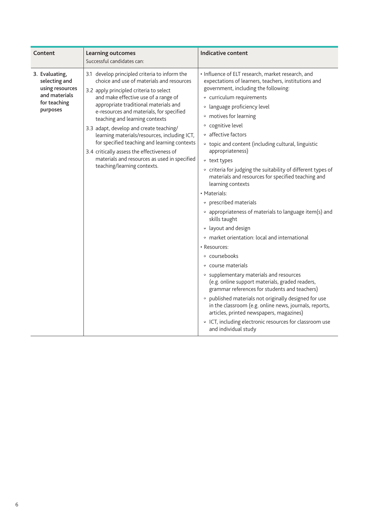| Content                                                                                         | <b>Learning outcomes</b><br>Successful candidates can:                                                                                                                                                                                                                                                                                                                                                                                                                                                                                                                       | <b>Indicative content</b>                                                                                                                                                                                                                                                                                                                                                                                                                                                                                                                                                                                                                                                                                                                                                                                                                                                                                                                                                                                                                                                                                                                                                                  |
|-------------------------------------------------------------------------------------------------|------------------------------------------------------------------------------------------------------------------------------------------------------------------------------------------------------------------------------------------------------------------------------------------------------------------------------------------------------------------------------------------------------------------------------------------------------------------------------------------------------------------------------------------------------------------------------|--------------------------------------------------------------------------------------------------------------------------------------------------------------------------------------------------------------------------------------------------------------------------------------------------------------------------------------------------------------------------------------------------------------------------------------------------------------------------------------------------------------------------------------------------------------------------------------------------------------------------------------------------------------------------------------------------------------------------------------------------------------------------------------------------------------------------------------------------------------------------------------------------------------------------------------------------------------------------------------------------------------------------------------------------------------------------------------------------------------------------------------------------------------------------------------------|
| 3. Evaluating,<br>selecting and<br>using resources<br>and materials<br>for teaching<br>purposes | 3.1 develop principled criteria to inform the<br>choice and use of materials and resources<br>3.2 apply principled criteria to select<br>and make effective use of a range of<br>appropriate traditional materials and<br>e-resources and materials, for specified<br>teaching and learning contexts<br>3.3 adapt, develop and create teaching/<br>learning materials/resources, including ICT,<br>for specified teaching and learning contexts<br>3.4 critically assess the effectiveness of<br>materials and resources as used in specified<br>teaching/learning contexts. | · Influence of ELT research, market research, and<br>expectations of learners, teachers, institutions and<br>government, including the following:<br>• curriculum requirements<br>• language proficiency level<br>• motives for learning<br>• cognitive level<br>• affective factors<br>• topic and content (including cultural, linguistic<br>appropriateness)<br>° text types<br>• criteria for judging the suitability of different types of<br>materials and resources for specified teaching and<br>learning contexts<br>• Materials:<br>• prescribed materials<br>• appropriateness of materials to language item(s) and<br>skills taught<br>• layout and design<br><sup>o</sup> market orientation: local and international<br>• Resources:<br>• coursebooks<br>• course materials<br>• supplementary materials and resources<br>(e.g. online support materials, graded readers,<br>grammar references for students and teachers)<br>• published materials not originally designed for use<br>in the classroom (e.g. online news, journals, reports,<br>articles, printed newspapers, magazines)<br>• ICT, including electronic resources for classroom use<br>and individual study |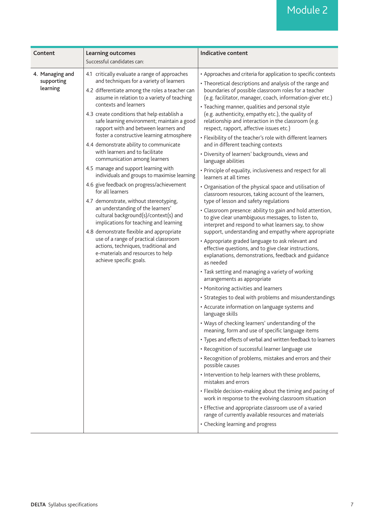## Module 2

| Content                                   | <b>Learning outcomes</b>                                                                                                                                                                                                                                                                                                                                                                                                                                                                                                                                                                                                                                                                                                                                                                                                                                                                                                                                                                                                                    | <b>Indicative content</b>                                                                                                                                                                                                                                                                                                                                                                                                                                                                                                                                                                                                                                                                                                                                                                                                                                                                                                                                                                                                                                                                                                                                                                                                                                                                                                                                                                                                                                                                                                                                                                                                                                                                                                                                                                                                                                                                                                                                                                                                                                                                                                                                                                                                                         |
|-------------------------------------------|---------------------------------------------------------------------------------------------------------------------------------------------------------------------------------------------------------------------------------------------------------------------------------------------------------------------------------------------------------------------------------------------------------------------------------------------------------------------------------------------------------------------------------------------------------------------------------------------------------------------------------------------------------------------------------------------------------------------------------------------------------------------------------------------------------------------------------------------------------------------------------------------------------------------------------------------------------------------------------------------------------------------------------------------|---------------------------------------------------------------------------------------------------------------------------------------------------------------------------------------------------------------------------------------------------------------------------------------------------------------------------------------------------------------------------------------------------------------------------------------------------------------------------------------------------------------------------------------------------------------------------------------------------------------------------------------------------------------------------------------------------------------------------------------------------------------------------------------------------------------------------------------------------------------------------------------------------------------------------------------------------------------------------------------------------------------------------------------------------------------------------------------------------------------------------------------------------------------------------------------------------------------------------------------------------------------------------------------------------------------------------------------------------------------------------------------------------------------------------------------------------------------------------------------------------------------------------------------------------------------------------------------------------------------------------------------------------------------------------------------------------------------------------------------------------------------------------------------------------------------------------------------------------------------------------------------------------------------------------------------------------------------------------------------------------------------------------------------------------------------------------------------------------------------------------------------------------------------------------------------------------------------------------------------------------|
|                                           | Successful candidates can:                                                                                                                                                                                                                                                                                                                                                                                                                                                                                                                                                                                                                                                                                                                                                                                                                                                                                                                                                                                                                  |                                                                                                                                                                                                                                                                                                                                                                                                                                                                                                                                                                                                                                                                                                                                                                                                                                                                                                                                                                                                                                                                                                                                                                                                                                                                                                                                                                                                                                                                                                                                                                                                                                                                                                                                                                                                                                                                                                                                                                                                                                                                                                                                                                                                                                                   |
| 4. Managing and<br>supporting<br>learning | 4.1 critically evaluate a range of approaches<br>and techniques for a variety of learners<br>4.2 differentiate among the roles a teacher can<br>assume in relation to a variety of teaching<br>contexts and learners<br>4.3 create conditions that help establish a<br>safe learning environment; maintain a good<br>rapport with and between learners and<br>foster a constructive learning atmosphere<br>4.4 demonstrate ability to communicate<br>with learners and to facilitate<br>communication among learners<br>4.5 manage and support learning with<br>individuals and groups to maximise learning<br>4.6 give feedback on progress/achievement<br>for all learners<br>4.7 demonstrate, without stereotyping,<br>an understanding of the learners'<br>cultural background(s)/context(s) and<br>implications for teaching and learning<br>4.8 demonstrate flexible and appropriate<br>use of a range of practical classroom<br>actions, techniques, traditional and<br>e-materials and resources to help<br>achieve specific goals. | • Approaches and criteria for application to specific contexts<br>• Theoretical descriptions and analysis of the range and<br>boundaries of possible classroom roles for a teacher<br>(e.g. facilitator, manager, coach, information-giver etc.)<br>• Teaching manner, qualities and personal style<br>(e.g. authenticity, empathy etc.), the quality of<br>relationship and interaction in the classroom (e.g.<br>respect, rapport, affective issues etc.)<br>• Flexibility of the teacher's role with different learners<br>and in different teaching contexts<br>· Diversity of learners' backgrounds, views and<br>language abilities<br>• Principle of equality, inclusiveness and respect for all<br>learners at all times<br>• Organisation of the physical space and utilisation of<br>classroom resources, taking account of the learners,<br>type of lesson and safety regulations<br>· Classroom presence: ability to gain and hold attention,<br>to give clear unambiguous messages, to listen to,<br>interpret and respond to what learners say, to show<br>support, understanding and empathy where appropriate<br>• Appropriate graded language to ask relevant and<br>effective questions, and to give clear instructions,<br>explanations, demonstrations, feedback and guidance<br>as needed<br>• Task setting and managing a variety of working<br>arrangements as appropriate<br>• Monitoring activities and learners<br>• Strategies to deal with problems and misunderstandings<br>• Accurate information on language systems and<br>language skills<br>• Ways of checking learners' understanding of the<br>meaning, form and use of specific language items<br>• Types and effects of verbal and written feedback to learners<br>• Recognition of successful learner language use<br>• Recognition of problems, mistakes and errors and their<br>possible causes<br>• Intervention to help learners with these problems,<br>mistakes and errors<br>• Flexible decision-making about the timing and pacing of<br>work in response to the evolving classroom situation<br>• Effective and appropriate classroom use of a varied<br>range of currently available resources and materials<br>• Checking learning and progress |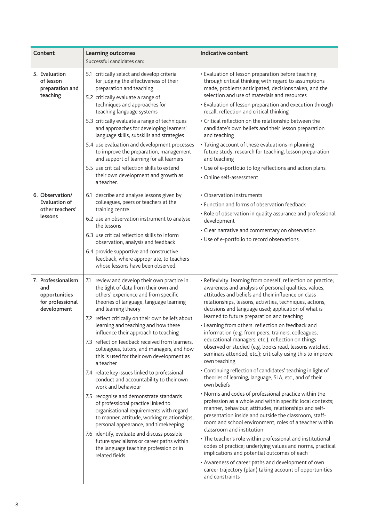| Content                                                                       | <b>Learning outcomes</b><br>Successful candidates can:                                                                                                                                                                                                                                                                                                                                                                                                                                                                                                                                                                                                                                                                                                                                                                                                                                                                                                                                       | <b>Indicative content</b>                                                                                                                                                                                                                                                                                                                                                                                                                                                                                                                                                                                                                                                                                                                                                                                                                                                                                                                                                                                                                                                                                                                                                                                                                                                                                                                                                                                                                      |
|-------------------------------------------------------------------------------|----------------------------------------------------------------------------------------------------------------------------------------------------------------------------------------------------------------------------------------------------------------------------------------------------------------------------------------------------------------------------------------------------------------------------------------------------------------------------------------------------------------------------------------------------------------------------------------------------------------------------------------------------------------------------------------------------------------------------------------------------------------------------------------------------------------------------------------------------------------------------------------------------------------------------------------------------------------------------------------------|------------------------------------------------------------------------------------------------------------------------------------------------------------------------------------------------------------------------------------------------------------------------------------------------------------------------------------------------------------------------------------------------------------------------------------------------------------------------------------------------------------------------------------------------------------------------------------------------------------------------------------------------------------------------------------------------------------------------------------------------------------------------------------------------------------------------------------------------------------------------------------------------------------------------------------------------------------------------------------------------------------------------------------------------------------------------------------------------------------------------------------------------------------------------------------------------------------------------------------------------------------------------------------------------------------------------------------------------------------------------------------------------------------------------------------------------|
| 5. Evaluation<br>of lesson<br>preparation and<br>teaching                     | 5.1 critically select and develop criteria<br>for judging the effectiveness of their<br>preparation and teaching<br>5.2 critically evaluate a range of<br>techniques and approaches for<br>teaching language systems<br>5.3 critically evaluate a range of techniques<br>and approaches for developing learners'<br>language skills, subskills and strategies<br>5.4 use evaluation and development processes<br>to improve the preparation, management<br>and support of learning for all learners                                                                                                                                                                                                                                                                                                                                                                                                                                                                                          | • Evaluation of lesson preparation before teaching<br>through critical thinking with regard to assumptions<br>made, problems anticipated, decisions taken, and the<br>selection and use of materials and resources<br>• Evaluation of lesson preparation and execution through<br>recall, reflection and critical thinking<br>• Critical reflection on the relationship between the<br>candidate's own beliefs and their lesson preparation<br>and teaching<br>• Taking account of these evaluations in planning<br>future study, research for teaching, lesson preparation<br>and teaching                                                                                                                                                                                                                                                                                                                                                                                                                                                                                                                                                                                                                                                                                                                                                                                                                                                    |
|                                                                               | 5.5 use critical reflection skills to extend<br>their own development and growth as<br>a teacher.                                                                                                                                                                                                                                                                                                                                                                                                                                                                                                                                                                                                                                                                                                                                                                                                                                                                                            | • Use of e-portfolio to log reflections and action plans<br>• Online self-assessment                                                                                                                                                                                                                                                                                                                                                                                                                                                                                                                                                                                                                                                                                                                                                                                                                                                                                                                                                                                                                                                                                                                                                                                                                                                                                                                                                           |
| 6. Observation/<br><b>Evaluation of</b><br>other teachers'<br>lessons         | 6.1 describe and analyse lessons given by<br>colleagues, peers or teachers at the<br>training centre<br>6.2 use an observation instrument to analyse<br>the lessons<br>6.3 use critical reflection skills to inform<br>observation, analysis and feedback<br>6.4 provide supportive and constructive<br>feedback, where appropriate, to teachers<br>whose lessons have been observed.                                                                                                                                                                                                                                                                                                                                                                                                                                                                                                                                                                                                        | • Observation instruments<br>• Function and forms of observation feedback<br>• Role of observation in quality assurance and professional<br>development<br>• Clear narrative and commentary on observation<br>• Use of e-portfolio to record observations                                                                                                                                                                                                                                                                                                                                                                                                                                                                                                                                                                                                                                                                                                                                                                                                                                                                                                                                                                                                                                                                                                                                                                                      |
| 7. Professionalism<br>and<br>opportunities<br>for professional<br>development | review and develop their own practice in<br>7.1<br>the light of data from their own and<br>others' experience and from specific<br>theories of language, language learning<br>and learning theory<br>7.2 reflect critically on their own beliefs about<br>learning and teaching and how these<br>influence their approach to teaching<br>7.3 reflect on feedback received from learners,<br>colleagues, tutors, and managers, and how<br>this is used for their own development as<br>a teacher<br>7.4 relate key issues linked to professional<br>conduct and accountability to their own<br>work and behaviour<br>7.5 recognise and demonstrate standards<br>of professional practice linked to<br>organisational requirements with regard<br>to manner, attitude, working relationships,<br>personal appearance, and timekeeping<br>7.6 identify, evaluate and discuss possible<br>future specialisms or career paths within<br>the language teaching profession or in<br>related fields. | • Reflexivity: learning from oneself; reflection on practice;<br>awareness and analysis of personal qualities, values,<br>attitudes and beliefs and their influence on class<br>relationships, lessons, activities, techniques, actions,<br>decisions and language used; application of what is<br>learned to future preparation and teaching<br>• Learning from others: reflection on feedback and<br>information (e.g. from peers, trainers, colleagues,<br>educational managers, etc.); reflection on things<br>observed or studied (e.g. books read, lessons watched,<br>seminars attended, etc.); critically using this to improve<br>own teaching<br>• Continuing reflection of candidates' teaching in light of<br>theories of learning, language, SLA, etc., and of their<br>own beliefs<br>• Norms and codes of professional practice within the<br>profession as a whole and within specific local contexts;<br>manner, behaviour, attitudes, relationships and self-<br>presentation inside and outside the classroom, staff-<br>room and school environment; roles of a teacher within<br>classroom and institution<br>• The teacher's role within professional and institutional<br>codes of practice; underlying values and norms, practical<br>implications and potential outcomes of each<br>• Awareness of career paths and development of own<br>career trajectory (plan) taking account of opportunities<br>and constraints |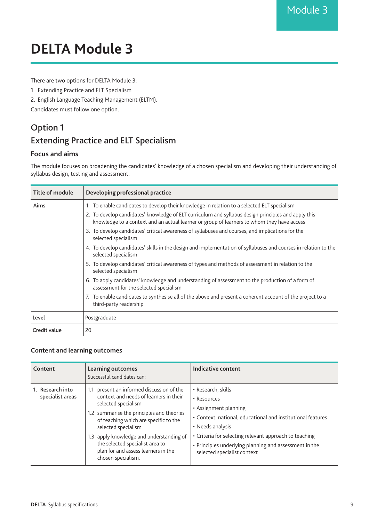## <span id="page-9-0"></span>**DELTA Module 3**

There are two options for DELTA Module 3:

- 1. Extending Practice and ELT Specialism
- 2. English Language Teaching Management (ELTM).

Candidates must follow one option.

### Option 1 Extending Practice and ELT Specialism

#### **Focus and aims**

The module focuses on broadening the candidates' knowledge of a chosen specialism and developing their understanding of syllabus design, testing and assessment.

| Title of module | Developing professional practice                                                                                                                                                                  |
|-----------------|---------------------------------------------------------------------------------------------------------------------------------------------------------------------------------------------------|
| Aims            | 1. To enable candidates to develop their knowledge in relation to a selected ELT specialism                                                                                                       |
|                 | 2. To develop candidates' knowledge of ELT curriculum and syllabus design principles and apply this<br>knowledge to a context and an actual learner or group of learners to whom they have access |
|                 | 3. To develop candidates' critical awareness of syllabuses and courses, and implications for the<br>selected specialism                                                                           |
|                 | 4. To develop candidates' skills in the design and implementation of syllabuses and courses in relation to the<br>selected specialism                                                             |
|                 | 5. To develop candidates' critical awareness of types and methods of assessment in relation to the<br>selected specialism                                                                         |
|                 | 6. To apply candidates' knowledge and understanding of assessment to the production of a form of<br>assessment for the selected specialism                                                        |
|                 | 7. To enable candidates to synthesise all of the above and present a coherent account of the project to a<br>third-party readership                                                               |
| Level           | Postgraduate                                                                                                                                                                                      |
| Credit value    | 20                                                                                                                                                                                                |

| Content                              | <b>Learning outcomes</b><br>Successful candidates can:                                                                                                                                                                                                                                                                                                                 | Indicative content                                                                                                                                                                                                                                                                               |
|--------------------------------------|------------------------------------------------------------------------------------------------------------------------------------------------------------------------------------------------------------------------------------------------------------------------------------------------------------------------------------------------------------------------|--------------------------------------------------------------------------------------------------------------------------------------------------------------------------------------------------------------------------------------------------------------------------------------------------|
| 1. Research into<br>specialist areas | present an informed discussion of the<br>1.1<br>context and needs of learners in their<br>selected specialism<br>1.2 summarise the principles and theories<br>of teaching which are specific to the<br>selected specialism<br>1.3 apply knowledge and understanding of<br>the selected specialist area to<br>plan for and assess learners in the<br>chosen specialism. | • Research, skills<br>• Resources<br>• Assignment planning<br>• Context: national, educational and institutional features<br>• Needs analysis<br>• Criteria for selecting relevant approach to teaching<br>• Principles underlying planning and assessment in the<br>selected specialist context |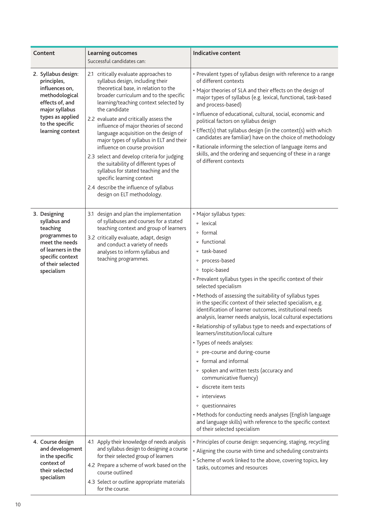| Content                                                                                                                                                                | <b>Learning outcomes</b><br>Successful candidates can:                                                                                                                                                                                                                                                                                                                                                                                                                                                                                                                                                                                                              | <b>Indicative content</b>                                                                                                                                                                                                                                                                                                                                                                                                                                                                                                                                                                                                                                                                                                                                                                                                                                                                                                                                                            |
|------------------------------------------------------------------------------------------------------------------------------------------------------------------------|---------------------------------------------------------------------------------------------------------------------------------------------------------------------------------------------------------------------------------------------------------------------------------------------------------------------------------------------------------------------------------------------------------------------------------------------------------------------------------------------------------------------------------------------------------------------------------------------------------------------------------------------------------------------|--------------------------------------------------------------------------------------------------------------------------------------------------------------------------------------------------------------------------------------------------------------------------------------------------------------------------------------------------------------------------------------------------------------------------------------------------------------------------------------------------------------------------------------------------------------------------------------------------------------------------------------------------------------------------------------------------------------------------------------------------------------------------------------------------------------------------------------------------------------------------------------------------------------------------------------------------------------------------------------|
| 2. Syllabus design:<br>principles,<br>influences on,<br>methodological<br>effects of, and<br>major syllabus<br>types as applied<br>to the specific<br>learning context | 2.1 critically evaluate approaches to<br>syllabus design, including their<br>theoretical base, in relation to the<br>broader curriculum and to the specific<br>learning/teaching context selected by<br>the candidate<br>2.2 evaluate and critically assess the<br>influence of major theories of second<br>language acquisition on the design of<br>major types of syllabus in ELT and their<br>influence on course provision<br>2.3 select and develop criteria for judging<br>the suitability of different types of<br>syllabus for stated teaching and the<br>specific learning context<br>2.4 describe the influence of syllabus<br>design on ELT methodology. | • Prevalent types of syllabus design with reference to a range<br>of different contexts<br>• Major theories of SLA and their effects on the design of<br>major types of syllabus (e.g. lexical, functional, task-based<br>and process-based)<br>· Influence of educational, cultural, social, economic and<br>political factors on syllabus design<br>• Effect(s) that syllabus design (in the context(s) with which<br>candidates are familiar) have on the choice of methodology<br>• Rationale informing the selection of language items and<br>skills, and the ordering and sequencing of these in a range<br>of different contexts                                                                                                                                                                                                                                                                                                                                              |
| 3. Designing<br>syllabus and<br>teaching<br>programmes to<br>meet the needs<br>of learners in the<br>specific context<br>of their selected<br>specialism               | 3.1 design and plan the implementation<br>of syllabuses and courses for a stated<br>teaching context and group of learners<br>3.2 critically evaluate, adapt, design<br>and conduct a variety of needs<br>analyses to inform syllabus and<br>teaching programmes.                                                                                                                                                                                                                                                                                                                                                                                                   | • Major syllabus types:<br>• lexical<br>∘ formal<br>• functional<br>• task-based<br>• process-based<br>• topic-based<br>• Prevalent syllabus types in the specific context of their<br>selected specialism<br>• Methods of assessing the suitability of syllabus types<br>in the specific context of their selected specialism, e.g.<br>identification of learner outcomes, institutional needs<br>analysis, learner needs analysis, local cultural expectations<br>• Relationship of syllabus type to needs and expectations of<br>learners/institution/local culture<br>• Types of needs analyses:<br>• pre-course and during-course<br>• formal and informal<br>• spoken and written tests (accuracy and<br>communicative fluency)<br><sup>o</sup> discrete item tests<br>• interviews<br><sup>o</sup> questionnaires<br>• Methods for conducting needs analyses (English language<br>and language skills) with reference to the specific context<br>of their selected specialism |
| 4. Course design<br>and development<br>in the specific<br>context of<br>their selected<br>specialism                                                                   | 4.1 Apply their knowledge of needs analysis<br>and syllabus design to designing a course<br>for their selected group of learners<br>4.2 Prepare a scheme of work based on the<br>course outlined<br>4.3 Select or outline appropriate materials<br>for the course.                                                                                                                                                                                                                                                                                                                                                                                                  | • Principles of course design: sequencing, staging, recycling<br>• Aligning the course with time and scheduling constraints<br>• Scheme of work linked to the above, covering topics, key<br>tasks, outcomes and resources                                                                                                                                                                                                                                                                                                                                                                                                                                                                                                                                                                                                                                                                                                                                                           |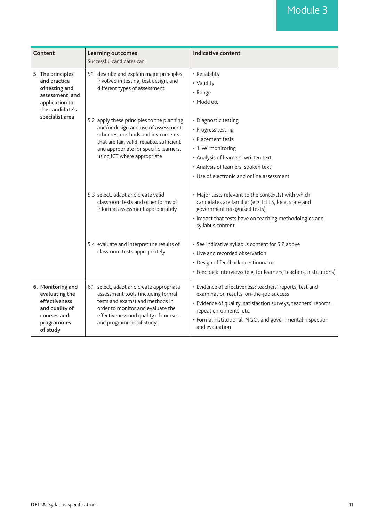| Content                                                                                                                                                                                                                                                                | <b>Learning outcomes</b><br>Successful candidates can:                                                                                                                                                                     | <b>Indicative content</b>                                                                                                                                                                                                                                                       |
|------------------------------------------------------------------------------------------------------------------------------------------------------------------------------------------------------------------------------------------------------------------------|----------------------------------------------------------------------------------------------------------------------------------------------------------------------------------------------------------------------------|---------------------------------------------------------------------------------------------------------------------------------------------------------------------------------------------------------------------------------------------------------------------------------|
| 5. The principles<br>and practice<br>of testing and<br>different types of assessment<br>assessment, and<br>application to<br>the candidate's<br>specialist area<br>using ICT where appropriate<br>5.3 select, adapt and create valid<br>classroom tests appropriately. | 5.1 describe and explain major principles<br>involved in testing, test design, and                                                                                                                                         | • Reliability<br>• Validity<br>• Range<br>· Mode etc.                                                                                                                                                                                                                           |
|                                                                                                                                                                                                                                                                        | 5.2 apply these principles to the planning<br>and/or design and use of assessment<br>schemes, methods and instruments<br>that are fair, valid, reliable, sufficient<br>and appropriate for specific learners,              | • Diagnostic testing<br>• Progress testing<br>• Placement tests<br>• 'Live' monitoring<br>• Analysis of learners' written text<br>• Analysis of learners' spoken text<br>• Use of electronic and online assessment                                                              |
|                                                                                                                                                                                                                                                                        | classroom tests and other forms of<br>informal assessment appropriately                                                                                                                                                    | • Major tests relevant to the context(s) with which<br>candidates are familiar (e.g. IELTS, local state and<br>government recognised tests)<br>• Impact that tests have on teaching methodologies and<br>syllabus content                                                       |
|                                                                                                                                                                                                                                                                        | 5.4 evaluate and interpret the results of                                                                                                                                                                                  | • See indicative syllabus content for 5.2 above<br>• Live and recorded observation<br>• Design of feedback questionnaires<br>• Feedback interviews (e.g. for learners, teachers, institutions)                                                                                  |
| 6. Monitoring and<br>evaluating the<br>effectiveness<br>and quality of<br>courses and<br>programmes<br>of study                                                                                                                                                        | 6.1 select, adapt and create appropriate<br>assessment tools (including formal<br>tests and exams) and methods in<br>order to monitor and evaluate the<br>effectiveness and quality of courses<br>and programmes of study. | • Evidence of effectiveness: teachers' reports, test and<br>examination results, on-the-job success<br>• Evidence of quality: satisfaction surveys, teachers' reports,<br>repeat enrolments, etc.<br>• Formal institutional, NGO, and governmental inspection<br>and evaluation |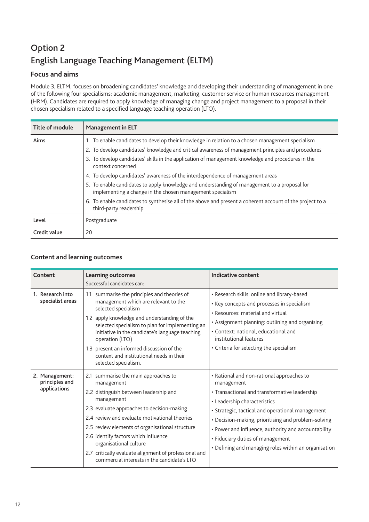### Option 2 English Language Teaching Management (ELTM)

### **Focus and aims**

Module 3, ELTM, focuses on broadening candidates' knowledge and developing their understanding of management in one of the following four specialisms: academic management, marketing, customer service or human resources management (HRM). Candidates are required to apply knowledge of managing change and project management to a proposal in their chosen specialism related to a specified language teaching operation (LTO).

| Title of module | <b>Management in ELT</b>                                                                                                                                  |  |
|-----------------|-----------------------------------------------------------------------------------------------------------------------------------------------------------|--|
| Aims            | 1. To enable candidates to develop their knowledge in relation to a chosen management specialism                                                          |  |
|                 | 2. To develop candidates' knowledge and critical awareness of management principles and procedures                                                        |  |
|                 | 3. To develop candidates' skills in the application of management knowledge and procedures in the<br>context concerned                                    |  |
|                 | 4. To develop candidates' awareness of the interdependence of management areas                                                                            |  |
|                 | 5. To enable candidates to apply knowledge and understanding of management to a proposal for<br>implementing a change in the chosen management specialism |  |
|                 | 6. To enable candidates to synthesise all of the above and present a coherent account of the project to a<br>third-party readership                       |  |
| Level           | Postgraduate                                                                                                                                              |  |
| Credit value    | 20                                                                                                                                                        |  |

| Content                                          | <b>Learning outcomes</b><br>Successful candidates can:                                                                                                                                                                                                                                                                                                                                                                                    | Indicative content                                                                                                                                                                                                                                                                                                                                                                                     |
|--------------------------------------------------|-------------------------------------------------------------------------------------------------------------------------------------------------------------------------------------------------------------------------------------------------------------------------------------------------------------------------------------------------------------------------------------------------------------------------------------------|--------------------------------------------------------------------------------------------------------------------------------------------------------------------------------------------------------------------------------------------------------------------------------------------------------------------------------------------------------------------------------------------------------|
| 1. Research into<br>specialist areas             | summarise the principles and theories of<br>1.1<br>management which are relevant to the<br>selected specialism<br>1.2 apply knowledge and understanding of the<br>selected specialism to plan for implementing an<br>initiative in the candidate's language teaching<br>operation (LTO)<br>1.3 present an informed discussion of the<br>context and institutional needs in their<br>selected specialism.                                  | • Research skills: online and library-based<br>• Key concepts and processes in specialism<br>• Resources: material and virtual<br>• Assignment planning: outlining and organising<br>· Context: national, educational and<br>institutional features<br>• Criteria for selecting the specialism                                                                                                         |
| 2. Management:<br>principles and<br>applications | summarise the main approaches to<br>2.1<br>management<br>2.2 distinguish between leadership and<br>management<br>2.3 evaluate approaches to decision-making<br>2.4 review and evaluate motivational theories<br>2.5 review elements of organisational structure<br>2.6 identify factors which influence<br>organisational culture<br>2.7 critically evaluate alignment of professional and<br>commercial interests in the candidate's LTO | • Rational and non-rational approaches to<br>management<br>· Transactional and transformative leadership<br>• Leadership characteristics<br>· Strategic, tactical and operational management<br>• Decision-making, prioritising and problem-solving<br>• Power and influence, authority and accountability<br>• Fiduciary duties of management<br>• Defining and managing roles within an organisation |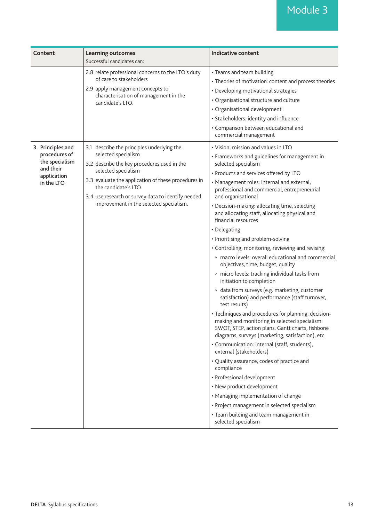## Module 3

| Content                                                                                        | <b>Learning outcomes</b><br>Successful candidates can:                                                                                                                                                                                                                                                                 | <b>Indicative content</b>                                                                                                                                                                                                                                                                                                                                                                                                                                                                                                                                                                                                                                                                                                                                                                                                                                                                                                                                                                                                                                                                                                                                                                                                                                                                                                                                                                                   |
|------------------------------------------------------------------------------------------------|------------------------------------------------------------------------------------------------------------------------------------------------------------------------------------------------------------------------------------------------------------------------------------------------------------------------|-------------------------------------------------------------------------------------------------------------------------------------------------------------------------------------------------------------------------------------------------------------------------------------------------------------------------------------------------------------------------------------------------------------------------------------------------------------------------------------------------------------------------------------------------------------------------------------------------------------------------------------------------------------------------------------------------------------------------------------------------------------------------------------------------------------------------------------------------------------------------------------------------------------------------------------------------------------------------------------------------------------------------------------------------------------------------------------------------------------------------------------------------------------------------------------------------------------------------------------------------------------------------------------------------------------------------------------------------------------------------------------------------------------|
|                                                                                                | 2.8 relate professional concerns to the LTO's duty<br>of care to stakeholders<br>2.9 apply management concepts to<br>characterisation of management in the<br>candidate's LTO.                                                                                                                                         | • Teams and team building<br>• Theories of motivation: content and process theories<br>• Developing motivational strategies<br>• Organisational structure and culture<br>• Organisational development<br>· Stakeholders: identity and influence<br>• Comparison between educational and<br>commercial management                                                                                                                                                                                                                                                                                                                                                                                                                                                                                                                                                                                                                                                                                                                                                                                                                                                                                                                                                                                                                                                                                            |
| 3. Principles and<br>procedures of<br>the specialism<br>and their<br>application<br>in the LTO | 3.1 describe the principles underlying the<br>selected specialism<br>3.2 describe the key procedures used in the<br>selected specialism<br>3.3 evaluate the application of these procedures in<br>the candidate's LTO<br>3.4 use research or survey data to identify needed<br>improvement in the selected specialism. | • Vision, mission and values in LTO<br>• Frameworks and guidelines for management in<br>selected specialism<br>• Products and services offered by LTO<br>• Management roles: internal and external,<br>professional and commercial, entrepreneurial<br>and organisational<br>• Decision-making: allocating time, selecting<br>and allocating staff, allocating physical and<br>financial resources<br>• Delegating<br>• Prioritising and problem-solving<br>• Controlling, monitoring, reviewing and revising:<br><sup>o</sup> macro levels: overall educational and commercial<br>objectives, time, budget, quality<br>• micro levels: tracking individual tasks from<br>initiation to completion<br><sup>o</sup> data from surveys (e.g. marketing, customer<br>satisfaction) and performance (staff turnover,<br>test results)<br>• Techniques and procedures for planning, decision-<br>making and monitoring in selected specialism:<br>SWOT, STEP, action plans, Gantt charts, fishbone<br>diagrams, surveys (marketing, satisfaction), etc.<br>· Communication: internal (staff, students),<br>external (stakeholders)<br>• Quality assurance, codes of practice and<br>compliance<br>• Professional development<br>• New product development<br>• Managing implementation of change<br>• Project management in selected specialism<br>• Team building and team management in<br>selected specialism |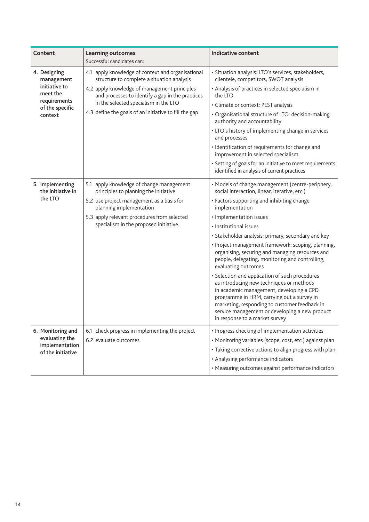| Content                                                                                               | <b>Learning outcomes</b><br>Successful candidates can:                                                                                                                                                                                                                                                 | <b>Indicative content</b>                                                                                                                                                                                                                                                                                                                                                                                                                                                                                                                                                                                                                                                                                                                                                                   |
|-------------------------------------------------------------------------------------------------------|--------------------------------------------------------------------------------------------------------------------------------------------------------------------------------------------------------------------------------------------------------------------------------------------------------|---------------------------------------------------------------------------------------------------------------------------------------------------------------------------------------------------------------------------------------------------------------------------------------------------------------------------------------------------------------------------------------------------------------------------------------------------------------------------------------------------------------------------------------------------------------------------------------------------------------------------------------------------------------------------------------------------------------------------------------------------------------------------------------------|
| 4. Designing<br>management<br>initiative to<br>meet the<br>requirements<br>of the specific<br>context | 4.1 apply knowledge of context and organisational<br>structure to complete a situation analysis<br>4.2 apply knowledge of management principles<br>and processes to identify a gap in the practices<br>in the selected specialism in the LTO<br>4.3 define the goals of an initiative to fill the gap. | · Situation analysis: LTO's services, stakeholders,<br>clientele, competitors, SWOT analysis<br>• Analysis of practices in selected specialism in<br>the LTO<br>· Climate or context: PEST analysis<br>• Organisational structure of LTO: decision-making<br>authority and accountability<br>• LTO's history of implementing change in services<br>and processes<br>· Identification of requirements for change and<br>improvement in selected specialism<br>• Setting of goals for an initiative to meet requirements<br>identified in analysis of current practices                                                                                                                                                                                                                       |
| 5. Implementing<br>the initiative in<br>the LTO                                                       | apply knowledge of change management<br>5.1<br>principles to planning the initiative<br>5.2 use project management as a basis for<br>planning implementation<br>5.3 apply relevant procedures from selected<br>specialism in the proposed initiative.                                                  | • Models of change management (centre-periphery,<br>social interaction, linear, iterative, etc.)<br>• Factors supporting and inhibiting change<br>implementation<br>• Implementation issues<br>• Institutional issues<br>• Stakeholder analysis: primary, secondary and key<br>· Project management framework: scoping, planning,<br>organising, securing and managing resources and<br>people, delegating, monitoring and controlling,<br>evaluating outcomes<br>• Selection and application of such procedures<br>as introducing new techniques or methods<br>in academic management, developing a CPD<br>programme in HRM, carrying out a survey in<br>marketing, responding to customer feedback in<br>service management or developing a new product<br>in response to a market survey |
| 6. Monitoring and<br>evaluating the<br>implementation<br>of the initiative                            | 6.1 check progress in implementing the project<br>6.2 evaluate outcomes.                                                                                                                                                                                                                               | • Progress checking of implementation activities<br>• Monitoring variables (scope, cost, etc.) against plan<br>• Taking corrective actions to align progress with plan<br>• Analysing performance indicators<br>• Measuring outcomes against performance indicators                                                                                                                                                                                                                                                                                                                                                                                                                                                                                                                         |